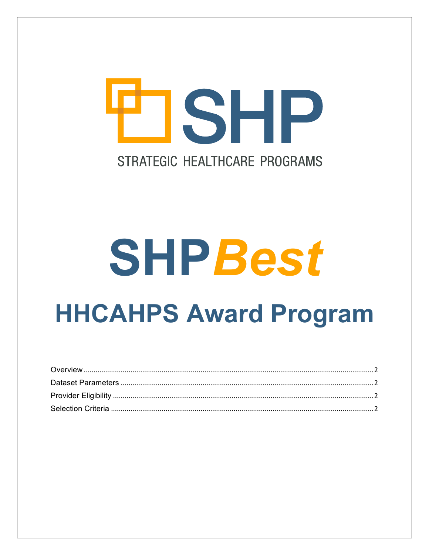# OSHP STRATEGIC HEALTHCARE PROGRAMS

# **SHPBest HHCAHPS Award Program**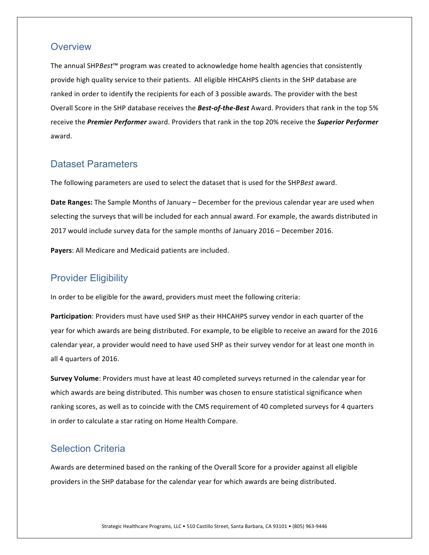### <span id="page-1-0"></span>**Overview**

The annual SHPBest<sup>™</sup> program was created to acknowledge home health agencies that consistently provide high quality service to their patients. All eligible HHCAHPS clients in the SHP database are ranked in order to identify the recipients for each of 3 possible awards. The provider with the best Overall Score in the SHP database receives the **Best-of-the-Best** Award. Providers that rank in the top 5% receive the *Premier Performer* award. Providers that rank in the top 20% receive the *Superior Performer* award. 

### <span id="page-1-1"></span>Dataset Parameters

The following parameters are used to select the dataset that is used for the SHPBest award.

**Date Ranges:** The Sample Months of January – December for the previous calendar year are used when selecting the surveys that will be included for each annual award. For example, the awards distributed in 2017 would include survey data for the sample months of January 2016 – December 2016.

Payers: All Medicare and Medicaid patients are included.

## <span id="page-1-2"></span>Provider Eligibility

In order to be eligible for the award, providers must meet the following criteria:

**Participation**: Providers must have used SHP as their HHCAHPS survey vendor in each quarter of the year for which awards are being distributed. For example, to be eligible to receive an award for the 2016 calendar year, a provider would need to have used SHP as their survey vendor for at least one month in all 4 quarters of 2016.

**Survey Volume**: Providers must have at least 40 completed surveys returned in the calendar year for which awards are being distributed. This number was chosen to ensure statistical significance when ranking scores, as well as to coincide with the CMS requirement of 40 completed surveys for 4 quarters in order to calculate a star rating on Home Health Compare.

# <span id="page-1-3"></span>Selection Criteria

Awards are determined based on the ranking of the Overall Score for a provider against all eligible providers in the SHP database for the calendar year for which awards are being distributed.